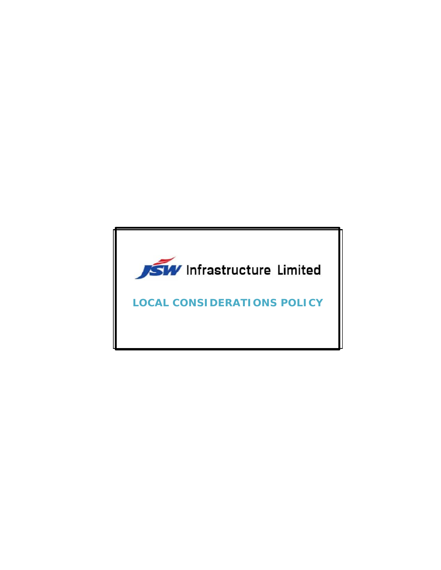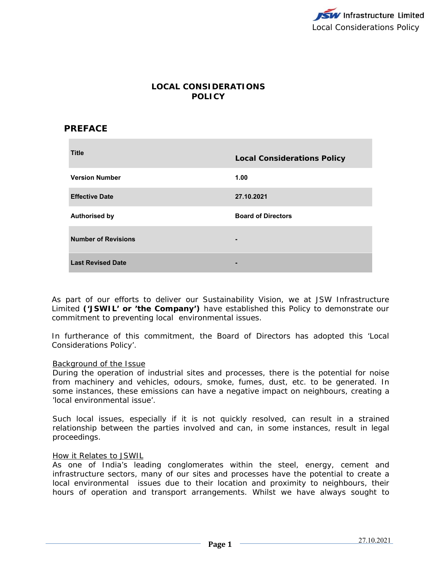# **LOCAL CONSIDERATIONS POLICY**

# **PREFACE**

| <b>Title</b>               | <b>Local Considerations Policy</b> |
|----------------------------|------------------------------------|
| <b>Version Number</b>      | 1.00                               |
| <b>Effective Date</b>      | 27.10.2021                         |
| <b>Authorised by</b>       | <b>Board of Directors</b>          |
| <b>Number of Revisions</b> |                                    |
| <b>Last Revised Date</b>   |                                    |

As part of our efforts to deliver our Sustainability Vision, we at JSW Infrastructure Limited **('JSWIL' or 'the Company')** have established this Policy to demonstrate our commitment to preventing local environmental issues.

In furtherance of this commitment, the Board of Directors has adopted this 'Local Considerations Policy'.

#### Background of the Issue

During the operation of industrial sites and processes, there is the potential for noise from machinery and vehicles, odours, smoke, fumes, dust, etc. to be generated. In some instances, these emissions can have a negative impact on neighbours, creating a 'local environmental issue'.

Such local issues, especially if it is not quickly resolved, can result in a strained relationship between the parties involved and can, in some instances, result in legal proceedings.

#### How it Relates to JSWIL

As one of India's leading conglomerates within the steel, energy, cement and infrastructure sectors, many of our sites and processes have the potential to create a local environmental issues due to their location and proximity to neighbours, their hours of operation and transport arrangements. Whilst we have always sought to